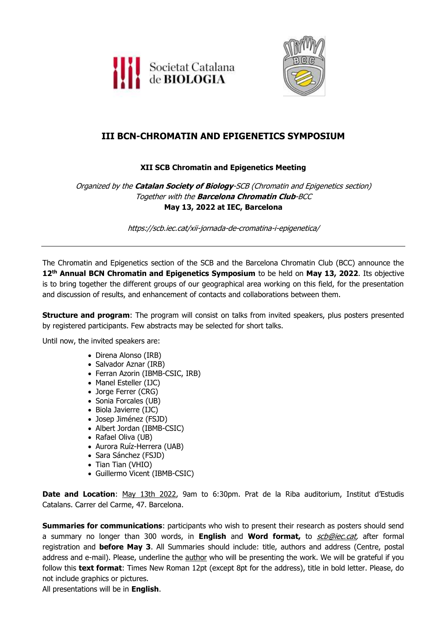



# **III BCN-CHROMATIN AND EPIGENETICS SYMPOSIUM**

## **XII SCB Chromatin and Epigenetics Meeting**

Organized by the **Catalan Society of Biology**-SCB (Chromatin and Epigenetics section) Together with the **Barcelona Chromatin Club**-BCC **May 13, 2022 at IEC, Barcelona**

https://scb.iec.cat/xii-jornada-de-cromatina-i-epigenetica/

The Chromatin and Epigenetics section of the SCB and the Barcelona Chromatin Club (BCC) announce the 12<sup>th</sup> Annual BCN Chromatin and Epigenetics Symposium to be held on May 13, 2022. Its objective is to bring together the different groups of our geographical area working on this field, for the presentation and discussion of results, and enhancement of contacts and collaborations between them.

**Structure and program**: The program will consist on talks from invited speakers, plus posters presented by registered participants. Few abstracts may be selected for short talks.

Until now, the invited speakers are:

- Direna Alonso (IRB)
- Salvador Aznar (IRB)
- Ferran Azorin (IBMB-CSIC, IRB)
- Manel Esteller (IJC)
- Jorge Ferrer (CRG)
- Sonia Forcales (UB)
- Biola Javierre (IJC)
- Josep Jiménez (FSJD)
- Albert Jordan (IBMB-CSIC)
- Rafael Oliva (UB)
- Aurora Ruíz-Herrera (UAB)
- Sara Sánchez (FSJD)
- Tian Tian (VHIO)
- Guillermo Vicent (IBMB-CSIC)

Date and Location: May 13th 2022, 9am to 6:30pm. Prat de la Riba auditorium, Institut d'Estudis Catalans. Carrer del Carme, 47. Barcelona.

**Summaries for communications**: participants who wish to present their research as posters should send a summary no longer than 300 words, in **English** and **Word format,** to [scb@iec.cat,](mailto:scb@iec.cat?subject=Jornada%20Cromatina%20i%20Epigenetica) after formal registration and **before May 3**. All Summaries should include: title, authors and address (Centre, postal address and e-mail). Please, underline the author who will be presenting the work. We will be grateful if you follow this **text format**: Times New Roman 12pt (except 8pt for the address), title in bold letter. Please, do not include graphics or pictures.

All presentations will be in **English**.